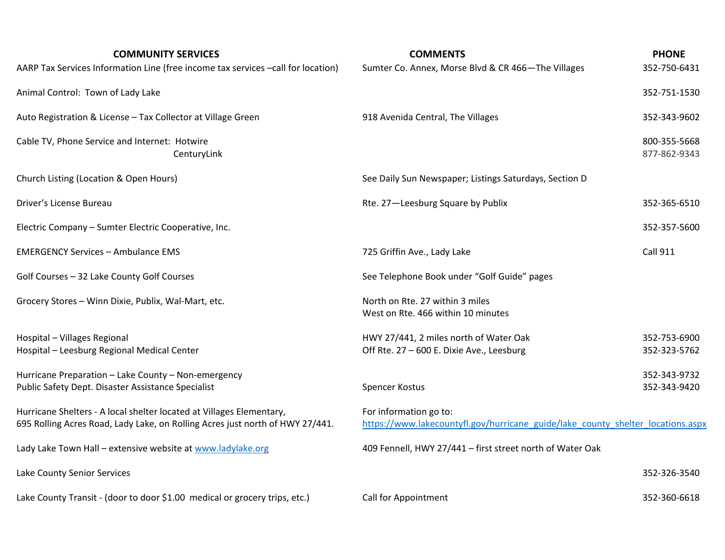| <b>COMMUNITY SERVICES</b><br>AARP Tax Services Information Line (free income tax services -call for location)                                         | <b>COMMENTS</b><br>Sumter Co. Annex, Morse Blvd & CR 466-The Villages                                     | <b>PHONE</b><br>352-750-6431 |
|-------------------------------------------------------------------------------------------------------------------------------------------------------|-----------------------------------------------------------------------------------------------------------|------------------------------|
| Animal Control: Town of Lady Lake                                                                                                                     |                                                                                                           | 352-751-1530                 |
| Auto Registration & License - Tax Collector at Village Green                                                                                          | 918 Avenida Central, The Villages                                                                         | 352-343-9602                 |
| Cable TV, Phone Service and Internet: Hotwire<br>CenturyLink                                                                                          |                                                                                                           | 800-355-5668<br>877-862-9343 |
| Church Listing (Location & Open Hours)                                                                                                                | See Daily Sun Newspaper; Listings Saturdays, Section D                                                    |                              |
| Driver's License Bureau                                                                                                                               | Rte. 27-Leesburg Square by Publix                                                                         | 352-365-6510                 |
| Electric Company - Sumter Electric Cooperative, Inc.                                                                                                  |                                                                                                           | 352-357-5600                 |
| <b>EMERGENCY Services - Ambulance EMS</b>                                                                                                             | 725 Griffin Ave., Lady Lake                                                                               | <b>Call 911</b>              |
| Golf Courses - 32 Lake County Golf Courses                                                                                                            | See Telephone Book under "Golf Guide" pages                                                               |                              |
| Grocery Stores - Winn Dixie, Publix, Wal-Mart, etc.                                                                                                   | North on Rte. 27 within 3 miles<br>West on Rte. 466 within 10 minutes                                     |                              |
| Hospital - Villages Regional<br>Hospital - Leesburg Regional Medical Center                                                                           | HWY 27/441, 2 miles north of Water Oak<br>Off Rte. 27 - 600 E. Dixie Ave., Leesburg                       | 352-753-6900<br>352-323-5762 |
| Hurricane Preparation - Lake County - Non-emergency<br>Public Safety Dept. Disaster Assistance Specialist                                             | Spencer Kostus                                                                                            | 352-343-9732<br>352-343-9420 |
| Hurricane Shelters - A local shelter located at Villages Elementary,<br>695 Rolling Acres Road, Lady Lake, on Rolling Acres just north of HWY 27/441. | For information go to:<br>https://www.lakecountyfl.gov/hurricane_guide/lake_county_shelter_locations.aspx |                              |
| Lady Lake Town Hall - extensive website at www.ladylake.org                                                                                           | 409 Fennell, HWY 27/441 - first street north of Water Oak                                                 |                              |
| Lake County Senior Services                                                                                                                           |                                                                                                           | 352-326-3540                 |
| Lake County Transit - (door to door \$1.00 medical or grocery trips, etc.)                                                                            | Call for Appointment                                                                                      | 352-360-6618                 |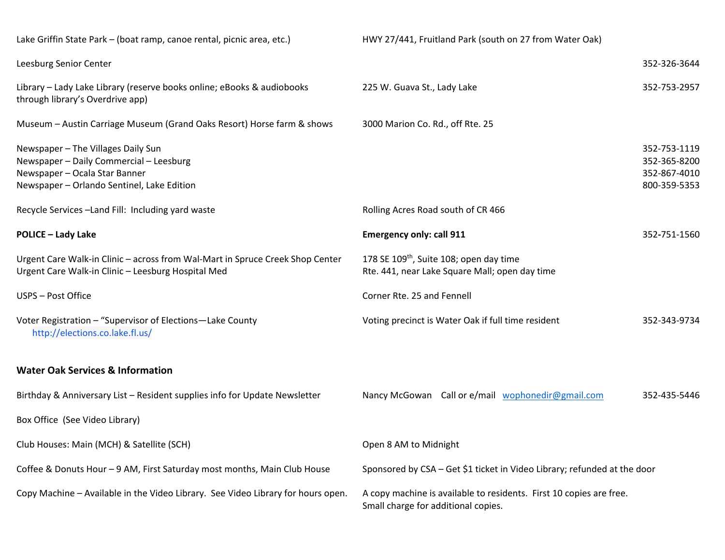| Lake Griffin State Park - (boat ramp, canoe rental, picnic area, etc.)                                                                                       | HWY 27/441, Fruitland Park (south on 27 from Water Oak)                                                    |                                                              |
|--------------------------------------------------------------------------------------------------------------------------------------------------------------|------------------------------------------------------------------------------------------------------------|--------------------------------------------------------------|
| Leesburg Senior Center                                                                                                                                       |                                                                                                            | 352-326-3644                                                 |
| Library - Lady Lake Library (reserve books online; eBooks & audiobooks<br>through library's Overdrive app)                                                   | 225 W. Guava St., Lady Lake                                                                                | 352-753-2957                                                 |
| Museum - Austin Carriage Museum (Grand Oaks Resort) Horse farm & shows                                                                                       | 3000 Marion Co. Rd., off Rte. 25                                                                           |                                                              |
| Newspaper - The Villages Daily Sun<br>Newspaper - Daily Commercial - Leesburg<br>Newspaper - Ocala Star Banner<br>Newspaper - Orlando Sentinel, Lake Edition |                                                                                                            | 352-753-1119<br>352-365-8200<br>352-867-4010<br>800-359-5353 |
| Recycle Services-Land Fill: Including yard waste                                                                                                             | Rolling Acres Road south of CR 466                                                                         |                                                              |
| <b>POLICE - Lady Lake</b>                                                                                                                                    | <b>Emergency only: call 911</b>                                                                            | 352-751-1560                                                 |
| Urgent Care Walk-in Clinic - across from Wal-Mart in Spruce Creek Shop Center<br>Urgent Care Walk-in Clinic - Leesburg Hospital Med                          | 178 SE 109 <sup>th</sup> , Suite 108; open day time<br>Rte. 441, near Lake Square Mall; open day time      |                                                              |
| USPS - Post Office                                                                                                                                           | Corner Rte. 25 and Fennell                                                                                 |                                                              |
| Voter Registration - "Supervisor of Elections - Lake County<br>http://elections.co.lake.fl.us/                                                               | Voting precinct is Water Oak if full time resident                                                         | 352-343-9734                                                 |
| <b>Water Oak Services &amp; Information</b>                                                                                                                  |                                                                                                            |                                                              |
| Birthday & Anniversary List - Resident supplies info for Update Newsletter                                                                                   | Nancy McGowan Call or e/mail wophonedir@gmail.com                                                          | 352-435-5446                                                 |
| Box Office (See Video Library)                                                                                                                               |                                                                                                            |                                                              |
| Club Houses: Main (MCH) & Satellite (SCH)                                                                                                                    | Open 8 AM to Midnight                                                                                      |                                                              |
| Coffee & Donuts Hour - 9 AM, First Saturday most months, Main Club House                                                                                     | Sponsored by CSA - Get \$1 ticket in Video Library; refunded at the door                                   |                                                              |
| Copy Machine - Available in the Video Library. See Video Library for hours open.                                                                             | A copy machine is available to residents. First 10 copies are free.<br>Small charge for additional copies. |                                                              |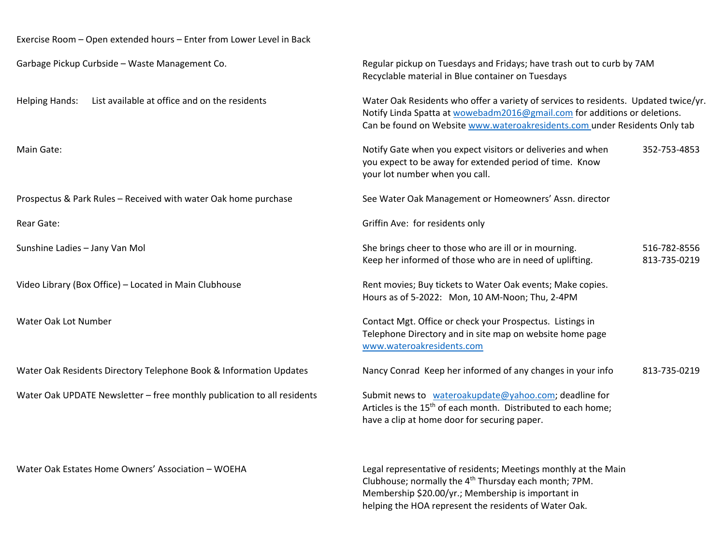| Exercise Room - Open extended hours - Enter from Lower Level in Back    |                                                                                                                                                                                                                                                |                              |
|-------------------------------------------------------------------------|------------------------------------------------------------------------------------------------------------------------------------------------------------------------------------------------------------------------------------------------|------------------------------|
| Garbage Pickup Curbside - Waste Management Co.                          | Regular pickup on Tuesdays and Fridays; have trash out to curb by 7AM<br>Recyclable material in Blue container on Tuesdays                                                                                                                     |                              |
| List available at office and on the residents<br><b>Helping Hands:</b>  | Water Oak Residents who offer a variety of services to residents. Updated twice/yr.<br>Notify Linda Spatta at wowebadm2016@gmail.com for additions or deletions.<br>Can be found on Website www.wateroakresidents.com under Residents Only tab |                              |
| Main Gate:                                                              | Notify Gate when you expect visitors or deliveries and when<br>you expect to be away for extended period of time. Know<br>your lot number when you call.                                                                                       | 352-753-4853                 |
| Prospectus & Park Rules - Received with water Oak home purchase         | See Water Oak Management or Homeowners' Assn. director                                                                                                                                                                                         |                              |
| Rear Gate:                                                              | Griffin Ave: for residents only                                                                                                                                                                                                                |                              |
| Sunshine Ladies - Jany Van Mol                                          | She brings cheer to those who are ill or in mourning.<br>Keep her informed of those who are in need of uplifting.                                                                                                                              | 516-782-8556<br>813-735-0219 |
| Video Library (Box Office) - Located in Main Clubhouse                  | Rent movies; Buy tickets to Water Oak events; Make copies.<br>Hours as of 5-2022: Mon, 10 AM-Noon; Thu, 2-4PM                                                                                                                                  |                              |
| Water Oak Lot Number                                                    | Contact Mgt. Office or check your Prospectus. Listings in<br>Telephone Directory and in site map on website home page<br>www.wateroakresidents.com                                                                                             |                              |
| Water Oak Residents Directory Telephone Book & Information Updates      | Nancy Conrad Keep her informed of any changes in your info                                                                                                                                                                                     | 813-735-0219                 |
| Water Oak UPDATE Newsletter - free monthly publication to all residents | Submit news to wateroakupdate@yahoo.com; deadline for<br>Articles is the 15 <sup>th</sup> of each month. Distributed to each home;<br>have a clip at home door for securing paper.                                                             |                              |
| Water Oak Estates Home Owners' Association - WOEHA                      | Legal representative of residents; Meetings monthly at the Main<br>Clubhouse; normally the 4 <sup>th</sup> Thursday each month; 7PM.                                                                                                           |                              |

Membership \$20.00/yr.; Membership is important in helping the HOA represent the residents of Water Oak.